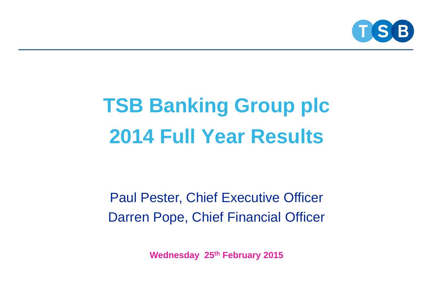

### **TSB Banking Group plc 2014 Full Year Results**

Paul Pester, Chief Executive Officer Darren Pope, Chief Financial Officer

**Wednesday 25th February 2015**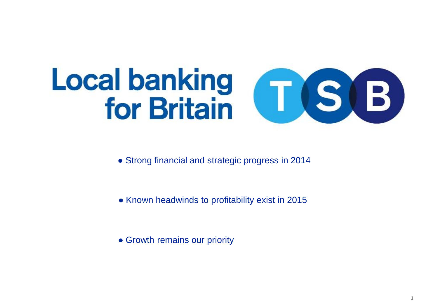# Local banking<br>for Britain (T. S. B.

- Strong financial and strategic progress in 2014
- Known headwinds to profitability exist in 2015
- Growth remains our priority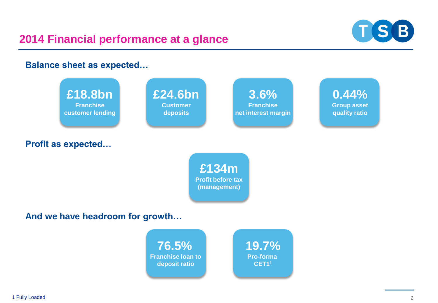

**Balance sheet as expected…**

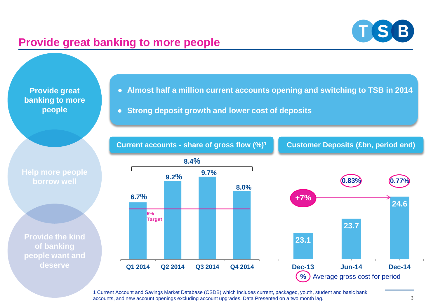## $T(S|B)$

#### **Provide great banking to more people**

**Provide great banking to more people**

● **Almost half a million current accounts opening and switching to TSB in 2014**

● **Strong deposit growth and lower cost of deposits**

**Current accounts - share of gross flow (%)<sup>1</sup>**

**Customer Deposits (£bn, period end)**

**Help more people** 

**Provide the kind of banking people want and deserve**





1 Current Account and Savings Market Database (CSDB) which includes current, packaged, youth, student and basic bank accounts, and new account openings excluding account upgrades. Data Presented on a two month lag.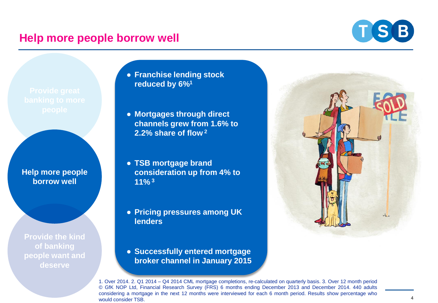#### **Help more people borrow well**



**Help more people borrow well** 

**Provide the kind of banking people want and deserve**

- **Franchise lending stock reduced by 6%<sup>1</sup>**
- **Mortgages through direct channels grew from 1.6% to 2.2% share of flow <sup>2</sup>**
- **TSB mortgage brand consideration up from 4% to 11% <sup>3</sup>**
- **Pricing pressures among UK lenders**
- **Successfully entered mortgage broker channel in January 2015**



1. Over 2014. 2. Q1 2014 – Q4 2014 CML mortgage completions, re-calculated on quarterly basis. 3. Over 12 month period © GfK NOP Ltd, Financial Research Survey (FRS) 6 months ending December 2013 and December 2014. 440 adults considering a mortgage in the next 12 months were interviewed for each 6 month period. Results show percentage who would consider TSB.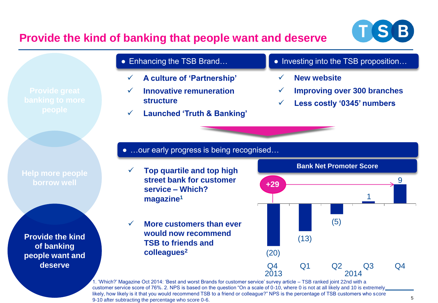

#### **Provide the kind of banking that people want and deserve**

**Help more people borrow well** 

**Provide the kind of banking people want and deserve**

#### • Enhancing the TSB Brand...

- **A culture of 'Partnership'**
- **Innovative remuneration structure**
- **Launched 'Truth & Banking'**
- Investing into the TSB proposition...
	- **New website**
	- **Improving over 300 branches**
	- **Less costly '0345' numbers**

● …our early progress is being recognised...

- **Top quartile and top high street bank for customer service – Which? magazine<sup>1</sup>**
- **More customers than ever would now recommend TSB to friends and colleagues<sup>2</sup>**



1. 'Which?' Magazine Oct 2014: 'Best and worst Brands for customer service' survey article – TSB ranked joint 22nd with a customer service score of 76%. 2. NPS is based on the question "On a scale of 0-10, where 0 is not at all likely and 10 is extremely likely, how likely is it that you would recommend TSB to a friend or colleague?" NPS is the percentage of TSB customers who score 9-10 after subtracting the percentage who score 0-6.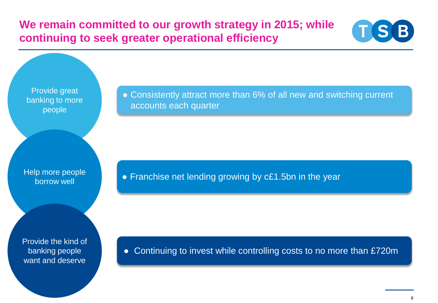**We remain committed to our growth strategy in 2015; while continuing to seek greater operational efficiency**



Provide great banking to more people

Help more people borrow well

Provide the kind of banking people want and deserve

• Consistently attract more than 6% of all new and switching current accounts each quarter

● Franchise net lending growing by c£1.5bn in the year

● Continuing to invest while controlling costs to no more than £720m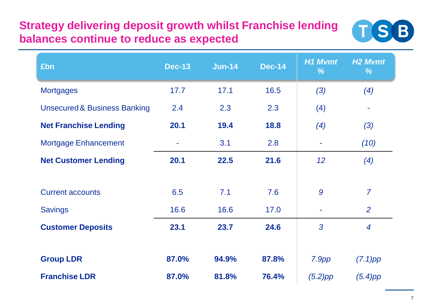#### **Strategy delivering deposit growth whilst Franchise lending balances continue to reduce as expected**



| £bn                                     | <b>Dec-13</b> | <b>Jun-14</b> | <b>Dec-14</b> | <b>H1 Mvmt</b><br>% | H <sub>2</sub> Mvmt<br>% |
|-----------------------------------------|---------------|---------------|---------------|---------------------|--------------------------|
| <b>Mortgages</b>                        | 17.7          | 17.1          | 16.5          | (3)                 | (4)                      |
| <b>Unsecured &amp; Business Banking</b> | 2.4           | 2.3           | 2.3           | (4)                 |                          |
| <b>Net Franchise Lending</b>            | 20.1          | 19.4          | 18.8          | (4)                 | (3)                      |
| <b>Mortgage Enhancement</b>             |               | 3.1           | 2.8           | ۰                   | (10)                     |
| <b>Net Customer Lending</b>             | 20.1          | 22.5          | 21.6          | 12                  | (4)                      |
|                                         |               |               |               |                     |                          |
| <b>Current accounts</b>                 | 6.5           | 7.1           | 7.6           | 9                   | $\overline{7}$           |
| <b>Savings</b>                          | 16.6          | 16.6          | 17.0          | $\blacksquare$      | 2                        |
| <b>Customer Deposits</b>                | 23.1          | 23.7          | 24.6          | 3                   | $\overline{4}$           |
|                                         |               |               |               |                     |                          |
| <b>Group LDR</b>                        | 87.0%         | 94.9%         | 87.8%         | 7.9pp               | $(7.1)$ pp               |
| <b>Franchise LDR</b>                    | 87.0%         | 81.8%         | 76.4%         | $(5.2)$ pp          | $(5.4)$ pp               |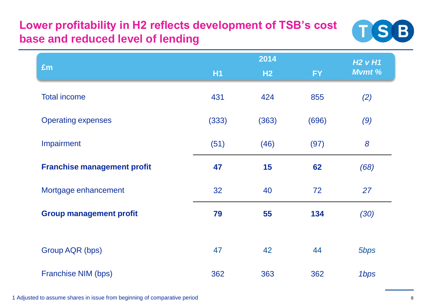### **Lower profitability in H2 reflects development of TSB's cost base and reduced level of lending**



|                                    |           | H2VH1 |           |        |  |
|------------------------------------|-----------|-------|-----------|--------|--|
| £m                                 | <b>H1</b> | H2    | <b>FY</b> | Mvmt % |  |
| <b>Total income</b>                | 431       | 424   | 855       | (2)    |  |
| <b>Operating expenses</b>          | (333)     | (363) | (696)     | (9)    |  |
| Impairment                         | (51)      | (46)  | (97)      | 8      |  |
| <b>Franchise management profit</b> | 47        | 15    | 62        | (68)   |  |
| Mortgage enhancement               | 32        | 40    | 72        | 27     |  |
| <b>Group management profit</b>     | 79        | 55    | 134       | (30)   |  |
|                                    |           |       |           |        |  |
| Group AQR (bps)                    | 47        | 42    | 44        | 5bps   |  |
| Franchise NIM (bps)                | 362       | 363   | 362       | 1bps   |  |

1 Adjusted to assume shares in issue from beginning of comparative period 8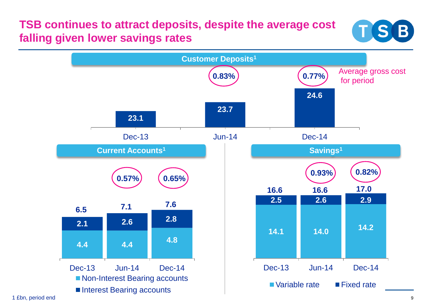#### **TSB continues to attract deposits, despite the average cost falling given lower savings rates**



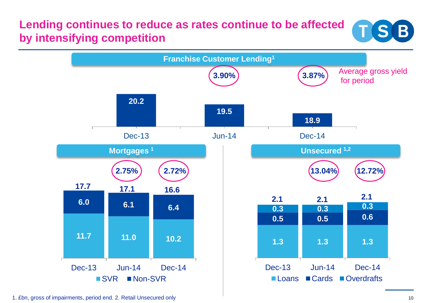#### **Lending continues to reduce as rates continue to be affected by intensifying competition**





1. £bn, gross of impairments, period end. 2. Retail Unsecured only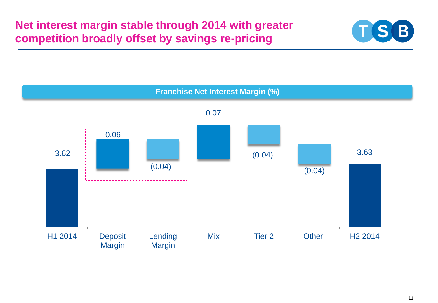

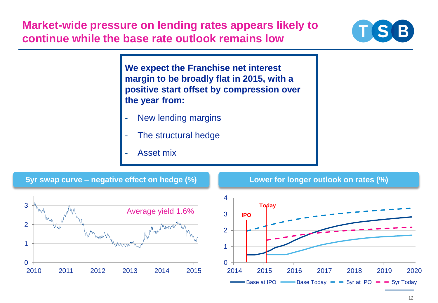**Market-wide pressure on lending rates appears likely to continue while the base rate outlook remains low**



**We expect the Franchise net interest margin to be broadly flat in 2015, with a positive start offset by compression over the year from:**

- New lending margins
- The structural hedge
- Asset mix

**5yr swap curve – negative effect on hedge (%)**





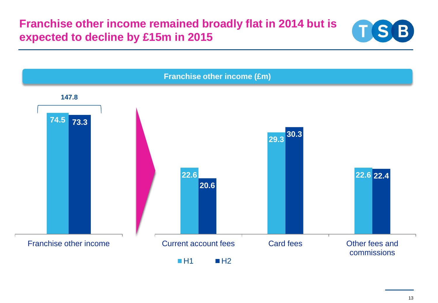**Franchise other income remained broadly flat in 2014 but is expected to decline by £15m in 2015**





13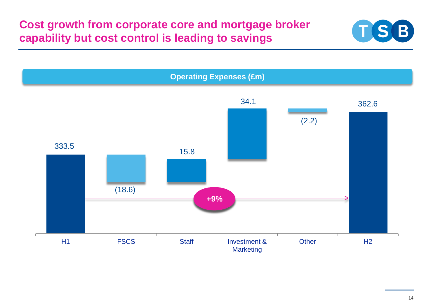#### **Cost growth from corporate core and mortgage broker capability but cost control is leading to savings**



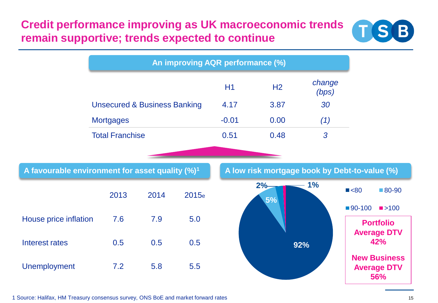#### **Credit performance improving as UK macroeconomic trends remain supportive; trends expected to continue**



|                                                             |                                         |      |       | An improving AQR performance (%) |                |                                               |
|-------------------------------------------------------------|-----------------------------------------|------|-------|----------------------------------|----------------|-----------------------------------------------|
|                                                             |                                         |      |       | H1                               | H <sub>2</sub> | change<br>(bps)                               |
|                                                             | <b>Unsecured &amp; Business Banking</b> |      |       | 4.17                             | 3.87           | 30                                            |
|                                                             | <b>Mortgages</b>                        |      |       | $-0.01$                          | 0.00           | (1)                                           |
|                                                             | <b>Total Franchise</b>                  |      |       | 0.51                             | 0.48           | $\overline{3}$                                |
|                                                             |                                         |      |       |                                  |                |                                               |
| A favourable environment for asset quality (%) <sup>1</sup> |                                         |      |       |                                  |                | A low risk mortgage book by Debt-to-value (%) |
|                                                             | 2013                                    | 2014 | 2015e |                                  | 2%<br>5%       | 1%                                            |
| House price inflation                                       | 7.6                                     | 7.9  | 5.0   |                                  |                |                                               |
| <b>Interest rates</b>                                       | 0.5                                     | 0.5  | 0.5   |                                  |                | 92%                                           |
| <b>Unemployment</b>                                         | 7.2                                     | 5.8  | 5.5   |                                  |                |                                               |

1 Source: Halifax, HM Treasury consensus survey, ONS BoE and market forward rates 15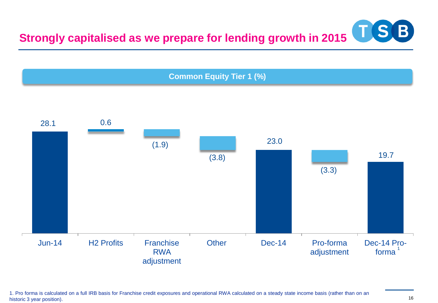



1. Pro forma is calculated on a full IRB basis for Franchise credit exposures and operational RWA calculated on a steady state income basis (rather than on an historic 3 year position).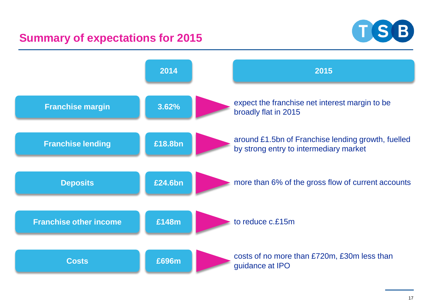#### **Summary of expectations for 2015**



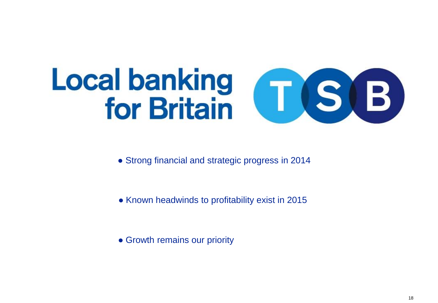# Local banking<br>for Britain (T. S. B.

- Strong financial and strategic progress in 2014
- Known headwinds to profitability exist in 2015
- Growth remains our priority